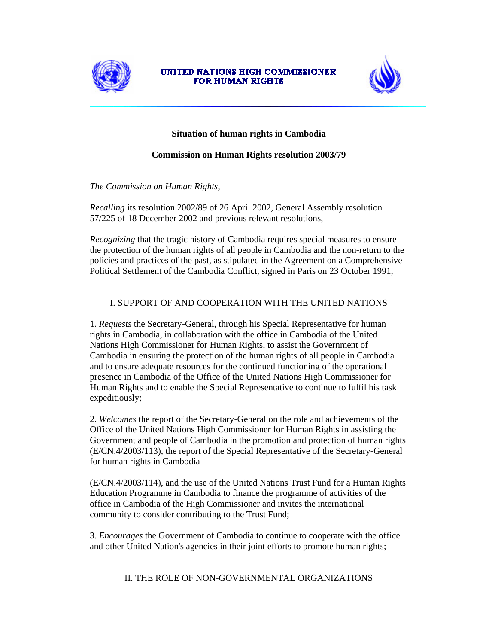

### UNITED NATIONS HIGH COMMISSIONER **FOR HUMAN RIGHTS**



# **Situation of human rights in Cambodia**

## **Commission on Human Rights resolution 2003/79**

*The Commission on Human Rights*,

*Recalling* its resolution 2002/89 of 26 April 2002, General Assembly resolution 57/225 of 18 December 2002 and previous relevant resolutions,

*Recognizing* that the tragic history of Cambodia requires special measures to ensure the protection of the human rights of all people in Cambodia and the non-return to the policies and practices of the past, as stipulated in the Agreement on a Comprehensive Political Settlement of the Cambodia Conflict, signed in Paris on 23 October 1991,

# I. SUPPORT OF AND COOPERATION WITH THE UNITED NATIONS

1. *Requests* the Secretary-General, through his Special Representative for human rights in Cambodia, in collaboration with the office in Cambodia of the United Nations High Commissioner for Human Rights, to assist the Government of Cambodia in ensuring the protection of the human rights of all people in Cambodia and to ensure adequate resources for the continued functioning of the operational presence in Cambodia of the Office of the United Nations High Commissioner for Human Rights and to enable the Special Representative to continue to fulfil his task expeditiously;

2. *Welcomes* the report of the Secretary-General on the role and achievements of the Office of the United Nations High Commissioner for Human Rights in assisting the Government and people of Cambodia in the promotion and protection of human rights (E/CN.4/2003/113), the report of the Special Representative of the Secretary-General for human rights in Cambodia

(E/CN.4/2003/114), and the use of the United Nations Trust Fund for a Human Rights Education Programme in Cambodia to finance the programme of activities of the office in Cambodia of the High Commissioner and invites the international community to consider contributing to the Trust Fund;

3. *Encourages* the Government of Cambodia to continue to cooperate with the office and other United Nation's agencies in their joint efforts to promote human rights;

II. THE ROLE OF NON-GOVERNMENTAL ORGANIZATIONS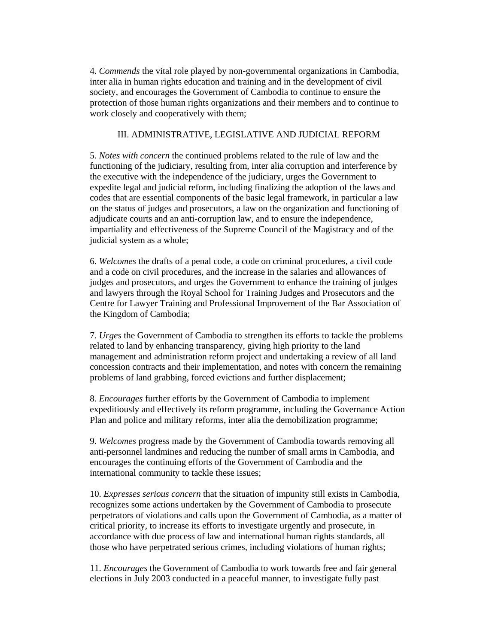4. *Commends* the vital role played by non-governmental organizations in Cambodia, inter alia in human rights education and training and in the development of civil society, and encourages the Government of Cambodia to continue to ensure the protection of those human rights organizations and their members and to continue to work closely and cooperatively with them;

## III. ADMINISTRATIVE, LEGISLATIVE AND JUDICIAL REFORM

5. *Notes with concern* the continued problems related to the rule of law and the functioning of the judiciary, resulting from, inter alia corruption and interference by the executive with the independence of the judiciary, urges the Government to expedite legal and judicial reform, including finalizing the adoption of the laws and codes that are essential components of the basic legal framework, in particular a law on the status of judges and prosecutors, a law on the organization and functioning of adjudicate courts and an anti-corruption law, and to ensure the independence, impartiality and effectiveness of the Supreme Council of the Magistracy and of the judicial system as a whole;

6. *Welcomes* the drafts of a penal code, a code on criminal procedures, a civil code and a code on civil procedures, and the increase in the salaries and allowances of judges and prosecutors, and urges the Government to enhance the training of judges and lawyers through the Royal School for Training Judges and Prosecutors and the Centre for Lawyer Training and Professional Improvement of the Bar Association of the Kingdom of Cambodia;

7. *Urges* the Government of Cambodia to strengthen its efforts to tackle the problems related to land by enhancing transparency, giving high priority to the land management and administration reform project and undertaking a review of all land concession contracts and their implementation, and notes with concern the remaining problems of land grabbing, forced evictions and further displacement;

8. *Encourages* further efforts by the Government of Cambodia to implement expeditiously and effectively its reform programme, including the Governance Action Plan and police and military reforms, inter alia the demobilization programme;

9. *Welcomes* progress made by the Government of Cambodia towards removing all anti-personnel landmines and reducing the number of small arms in Cambodia, and encourages the continuing efforts of the Government of Cambodia and the international community to tackle these issues;

10. *Expresses serious concern* that the situation of impunity still exists in Cambodia, recognizes some actions undertaken by the Government of Cambodia to prosecute perpetrators of violations and calls upon the Government of Cambodia, as a matter of critical priority, to increase its efforts to investigate urgently and prosecute, in accordance with due process of law and international human rights standards, all those who have perpetrated serious crimes, including violations of human rights;

11. *Encourages* the Government of Cambodia to work towards free and fair general elections in July 2003 conducted in a peaceful manner, to investigate fully past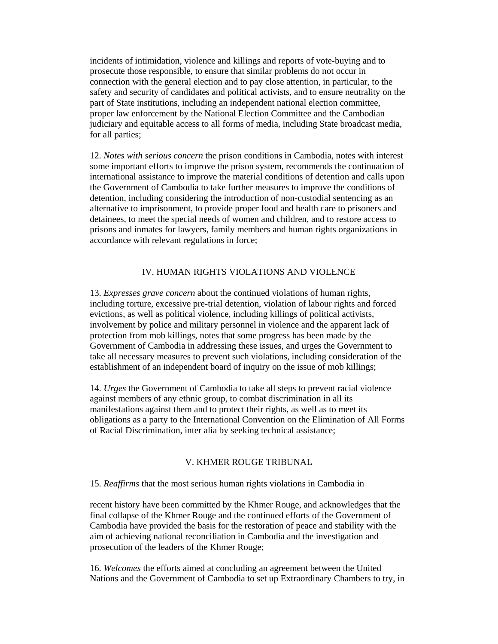incidents of intimidation, violence and killings and reports of vote-buying and to prosecute those responsible, to ensure that similar problems do not occur in connection with the general election and to pay close attention, in particular, to the safety and security of candidates and political activists, and to ensure neutrality on the part of State institutions, including an independent national election committee, proper law enforcement by the National Election Committee and the Cambodian judiciary and equitable access to all forms of media, including State broadcast media, for all parties;

12. *Notes with serious concern* the prison conditions in Cambodia, notes with interest some important efforts to improve the prison system, recommends the continuation of international assistance to improve the material conditions of detention and calls upon the Government of Cambodia to take further measures to improve the conditions of detention, including considering the introduction of non-custodial sentencing as an alternative to imprisonment, to provide proper food and health care to prisoners and detainees, to meet the special needs of women and children, and to restore access to prisons and inmates for lawyers, family members and human rights organizations in accordance with relevant regulations in force;

## IV. HUMAN RIGHTS VIOLATIONS AND VIOLENCE

13. *Expresses grave concern* about the continued violations of human rights, including torture, excessive pre-trial detention, violation of labour rights and forced evictions, as well as political violence, including killings of political activists, involvement by police and military personnel in violence and the apparent lack of protection from mob killings, notes that some progress has been made by the Government of Cambodia in addressing these issues, and urges the Government to take all necessary measures to prevent such violations, including consideration of the establishment of an independent board of inquiry on the issue of mob killings;

14. *Urges* the Government of Cambodia to take all steps to prevent racial violence against members of any ethnic group, to combat discrimination in all its manifestations against them and to protect their rights, as well as to meet its obligations as a party to the International Convention on the Elimination of All Forms of Racial Discrimination, inter alia by seeking technical assistance;

## V. KHMER ROUGE TRIBUNAL

15. *Reaffirms* that the most serious human rights violations in Cambodia in

recent history have been committed by the Khmer Rouge, and acknowledges that the final collapse of the Khmer Rouge and the continued efforts of the Government of Cambodia have provided the basis for the restoration of peace and stability with the aim of achieving national reconciliation in Cambodia and the investigation and prosecution of the leaders of the Khmer Rouge;

16. *Welcomes* the efforts aimed at concluding an agreement between the United Nations and the Government of Cambodia to set up Extraordinary Chambers to try, in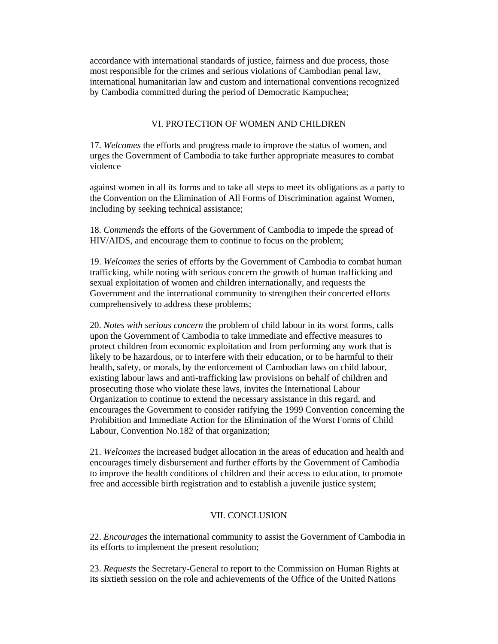accordance with international standards of justice, fairness and due process, those most responsible for the crimes and serious violations of Cambodian penal law, international humanitarian law and custom and international conventions recognized by Cambodia committed during the period of Democratic Kampuchea;

#### VI. PROTECTION OF WOMEN AND CHILDREN

17. *Welcomes* the efforts and progress made to improve the status of women, and urges the Government of Cambodia to take further appropriate measures to combat violence

against women in all its forms and to take all steps to meet its obligations as a party to the Convention on the Elimination of All Forms of Discrimination against Women, including by seeking technical assistance;

18. *Commends* the efforts of the Government of Cambodia to impede the spread of HIV/AIDS, and encourage them to continue to focus on the problem;

19. *Welcomes* the series of efforts by the Government of Cambodia to combat human trafficking, while noting with serious concern the growth of human trafficking and sexual exploitation of women and children internationally, and requests the Government and the international community to strengthen their concerted efforts comprehensively to address these problems;

20. *Notes with serious concern* the problem of child labour in its worst forms, calls upon the Government of Cambodia to take immediate and effective measures to protect children from economic exploitation and from performing any work that is likely to be hazardous, or to interfere with their education, or to be harmful to their health, safety, or morals, by the enforcement of Cambodian laws on child labour, existing labour laws and anti-trafficking law provisions on behalf of children and prosecuting those who violate these laws, invites the International Labour Organization to continue to extend the necessary assistance in this regard, and encourages the Government to consider ratifying the 1999 Convention concerning the Prohibition and Immediate Action for the Elimination of the Worst Forms of Child Labour, Convention No.182 of that organization;

21. *Welcomes* the increased budget allocation in the areas of education and health and encourages timely disbursement and further efforts by the Government of Cambodia to improve the health conditions of children and their access to education, to promote free and accessible birth registration and to establish a juvenile justice system;

#### VII. CONCLUSION

22. *Encourages* the international community to assist the Government of Cambodia in its efforts to implement the present resolution;

23. *Requests* the Secretary-General to report to the Commission on Human Rights at its sixtieth session on the role and achievements of the Office of the United Nations